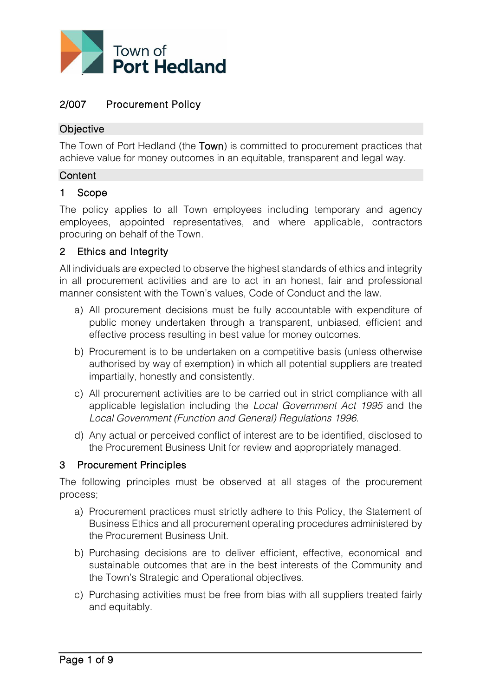

# 2/007 Procurement Policy

### **Objective**

The Town of Port Hedland (the Town) is committed to procurement practices that achieve value for money outcomes in an equitable, transparent and legal way.

#### **Content**

#### 1 Scope

The policy applies to all Town employees including temporary and agency employees, appointed representatives, and where applicable, contractors procuring on behalf of the Town.

### 2 Ethics and Integrity

All individuals are expected to observe the highest standards of ethics and integrity in all procurement activities and are to act in an honest, fair and professional manner consistent with the Town's values, Code of Conduct and the law.

- a) All procurement decisions must be fully accountable with expenditure of public money undertaken through a transparent, unbiased, efficient and effective process resulting in best value for money outcomes.
- b) Procurement is to be undertaken on a competitive basis (unless otherwise authorised by way of exemption) in which all potential suppliers are treated impartially, honestly and consistently.
- c) All procurement activities are to be carried out in strict compliance with all applicable legislation including the *Local Government Act 1995* and the *Local Government (Function and General) Regulations 1996*.
- d) Any actual or perceived conflict of interest are to be identified, disclosed to the Procurement Business Unit for review and appropriately managed.

### 3 Procurement Principles

The following principles must be observed at all stages of the procurement process;

- a) Procurement practices must strictly adhere to this Policy, the Statement of Business Ethics and all procurement operating procedures administered by the Procurement Business Unit.
- b) Purchasing decisions are to deliver efficient, effective, economical and sustainable outcomes that are in the best interests of the Community and the Town's Strategic and Operational objectives.
- c) Purchasing activities must be free from bias with all suppliers treated fairly and equitably.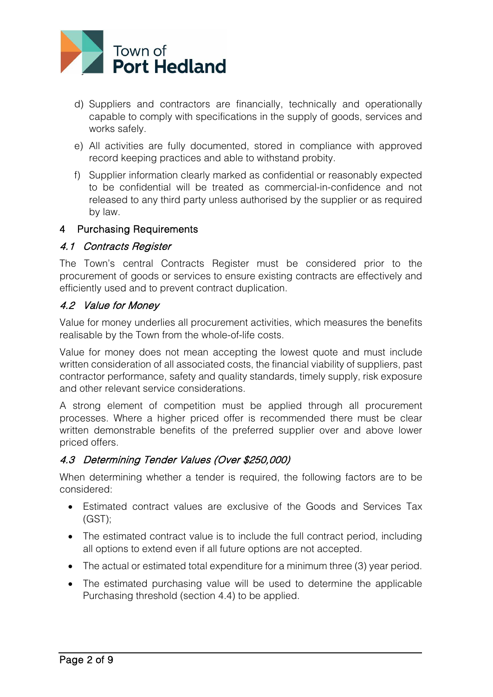

- d) Suppliers and contractors are financially, technically and operationally capable to comply with specifications in the supply of goods, services and works safely.
- e) All activities are fully documented, stored in compliance with approved record keeping practices and able to withstand probity.
- f) Supplier information clearly marked as confidential or reasonably expected to be confidential will be treated as commercial-in-confidence and not released to any third party unless authorised by the supplier or as required by law.

## 4 Purchasing Requirements

## 4.1 Contracts Register

The Town's central Contracts Register must be considered prior to the procurement of goods or services to ensure existing contracts are effectively and efficiently used and to prevent contract duplication.

# 4.2 Value for Money

Value for money underlies all procurement activities, which measures the benefits realisable by the Town from the whole-of-life costs.

Value for money does not mean accepting the lowest quote and must include written consideration of all associated costs, the financial viability of suppliers, past contractor performance, safety and quality standards, timely supply, risk exposure and other relevant service considerations.

A strong element of competition must be applied through all procurement processes. Where a higher priced offer is recommended there must be clear written demonstrable benefits of the preferred supplier over and above lower priced offers.

# 4.3 Determining Tender Values (Over \$250,000)

When determining whether a tender is required, the following factors are to be considered:

- Estimated contract values are exclusive of the Goods and Services Tax  $(GST)$ ;
- The estimated contract value is to include the full contract period, including all options to extend even if all future options are not accepted.
- The actual or estimated total expenditure for a minimum three (3) year period.
- The estimated purchasing value will be used to determine the applicable Purchasing threshold (section 4.4) to be applied.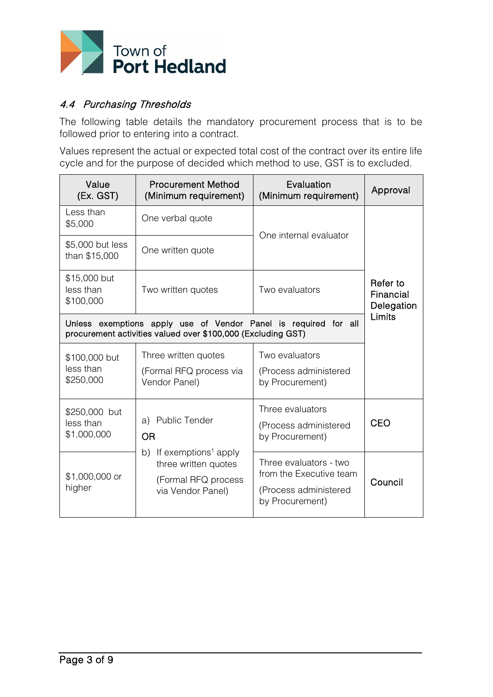

## 4.4 Purchasing Thresholds

The following table details the mandatory procurement process that is to be followed prior to entering into a contract.

Values represent the actual or expected total cost of the contract over its entire life cycle and for the purpose of decided which method to use, GST is to excluded.

| Value<br>(Ex. GST)                                                                                                              | <b>Procurement Method</b><br>(Minimum requirement)                                                      | Evaluation<br>(Minimum requirement)                                                           | Approval                            |
|---------------------------------------------------------------------------------------------------------------------------------|---------------------------------------------------------------------------------------------------------|-----------------------------------------------------------------------------------------------|-------------------------------------|
| Less than<br>\$5,000                                                                                                            | One verbal quote                                                                                        | One internal evaluator                                                                        |                                     |
| \$5,000 but less<br>than \$15,000                                                                                               | One written quote                                                                                       |                                                                                               |                                     |
| \$15,000 but<br>less than<br>\$100,000                                                                                          | Two written quotes                                                                                      | Two evaluators                                                                                | Refer to<br>Financial<br>Delegation |
| Unless exemptions apply use of Vendor Panel is required for all<br>procurement activities valued over \$100,000 (Excluding GST) | Limits                                                                                                  |                                                                                               |                                     |
| \$100,000 but<br>less than<br>\$250,000                                                                                         | Three written quotes<br>(Formal RFQ process via<br>Vendor Panel)                                        | Two evaluators<br>(Process administered<br>by Procurement)                                    |                                     |
| \$250,000 but<br>less than<br>\$1,000,000                                                                                       | a) Public Tender<br><b>OR</b>                                                                           | Three evaluators<br>(Process administered<br>by Procurement)                                  | <b>CEO</b>                          |
| \$1,000,000 or<br>higher                                                                                                        | b) If exemptions <sup>1</sup> apply<br>three written quotes<br>(Formal RFQ process<br>via Vendor Panel) | Three evaluators - two<br>from the Executive team<br>(Process administered<br>by Procurement) | Council                             |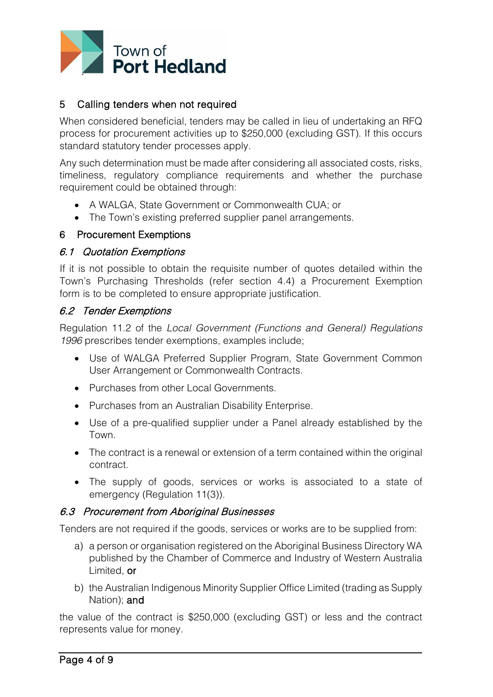

## 5 Calling tenders when not required

When considered beneficial, tenders may be called in lieu of undertaking an RFQ process for procurement activities up to \$250,000 (excluding GST). If this occurs standard statutory tender processes apply.

Any such determination must be made after considering all associated costs, risks, timeliness, regulatory compliance requirements and whether the purchase requirement could be obtained through:

- A WALGA, State Government or Commonwealth CUA; or
- The Town's existing preferred supplier panel arrangements.

#### 6 Procurement Exemptions

#### 6.1 Quotation Exemptions

If it is not possible to obtain the requisite number of quotes detailed within the Town's Purchasing Thresholds (refer section 4.4) a Procurement Exemption form is to be completed to ensure appropriate justification.

### 6.2 Tender Exemptions

Regulation 11.2 of the *Local Government (Functions and General) Regulations 1996* prescribes tender exemptions, examples include;

- Use of WALGA Preferred Supplier Program, State Government Common User Arrangement or Commonwealth Contracts.
- Purchases from other Local Governments.
- Purchases from an Australian Disability Enterprise.
- Use of a pre-qualified supplier under a Panel already established by the Town.
- The contract is a renewal or extension of a term contained within the original contract.
- The supply of goods, services or works is associated to a state of emergency (Regulation 11(3)).

### 6.3 Procurement from Aboriginal Businesses

Tenders are not required if the goods, services or works are to be supplied from:

- a) a person or organisation registered on the Aboriginal Business Directory WA published by the Chamber of Commerce and Industry of Western Australia Limited, or
- b) the Australian Indigenous Minority Supplier Office Limited (trading as Supply Nation); and

the value of the contract is \$250,000 (excluding GST) or less and the contract represents value for money.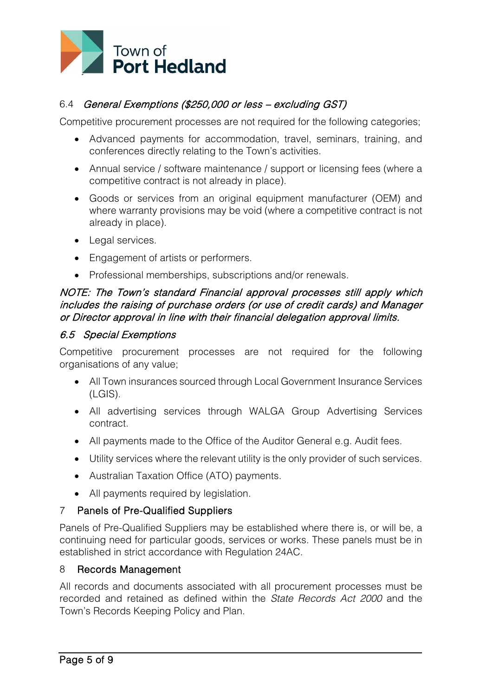

## 6.4 General Exemptions (\$250,000 or less – excluding GST)

Competitive procurement processes are not required for the following categories;

- Advanced payments for accommodation, travel, seminars, training, and conferences directly relating to the Town's activities.
- Annual service / software maintenance / support or licensing fees (where a competitive contract is not already in place).
- Goods or services from an original equipment manufacturer (OEM) and where warranty provisions may be void (where a competitive contract is not already in place).
- Legal services.
- Engagement of artists or performers.
- Professional memberships, subscriptions and/or renewals.

## NOTE: The Town's standard Financial approval processes still apply which includes the raising of purchase orders (or use of credit cards) and Manager or Director approval in line with their financial delegation approval limits.

### 6.5 Special Exemptions

Competitive procurement processes are not required for the following organisations of any value;

- All Town insurances sourced through Local Government Insurance Services (LGIS).
- All advertising services through WALGA Group Advertising Services contract.
- All payments made to the Office of the Auditor General e.g. Audit fees.
- Utility services where the relevant utility is the only provider of such services.
- Australian Taxation Office (ATO) payments.
- All payments required by legislation.

### 7 Panels of Pre-Qualified Suppliers

Panels of Pre-Qualified Suppliers may be established where there is, or will be, a continuing need for particular goods, services or works. These panels must be in established in strict accordance with Regulation 24AC.

#### 8 Records Management

All records and documents associated with all procurement processes must be recorded and retained as defined within the *State Records Act 2000* and the Town's Records Keeping Policy and Plan.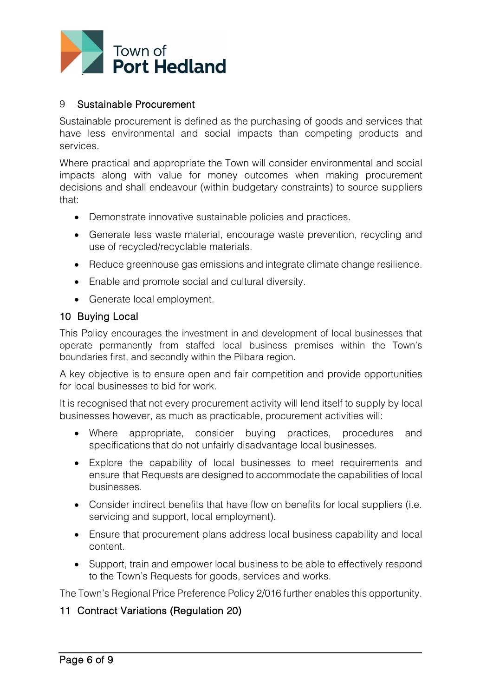

### 9 Sustainable Procurement

Sustainable procurement is defined as the purchasing of goods and services that have less environmental and social impacts than competing products and services.

Where practical and appropriate the Town will consider environmental and social impacts along with value for money outcomes when making procurement decisions and shall endeavour (within budgetary constraints) to source suppliers that:

- Demonstrate innovative sustainable policies and practices.
- Generate less waste material, encourage waste prevention, recycling and use of recycled/recyclable materials.
- Reduce greenhouse gas emissions and integrate climate change resilience.
- Enable and promote social and cultural diversity.
- Generate local employment.

#### 10 Buying Local

This Policy encourages the investment in and development of local businesses that operate permanently from staffed local business premises within the Town's boundaries first, and secondly within the Pilbara region.

A key objective is to ensure open and fair competition and provide opportunities for local businesses to bid for work.

It is recognised that not every procurement activity will lend itself to supply by local businesses however, as much as practicable, procurement activities will:

- Where appropriate, consider buying practices, procedures and specifications that do not unfairly disadvantage local businesses.
- Explore the capability of local businesses to meet requirements and ensure that Requests are designed to accommodate the capabilities of local businesses.
- Consider indirect benefits that have flow on benefits for local suppliers (i.e. servicing and support, local employment).
- Ensure that procurement plans address local business capability and local content.
- Support, train and empower local business to be able to effectively respond to the Town's Requests for goods, services and works.

The Town's Regional Price Preference Policy 2/016 further enables this opportunity.

### 11 Contract Variations (Regulation 20)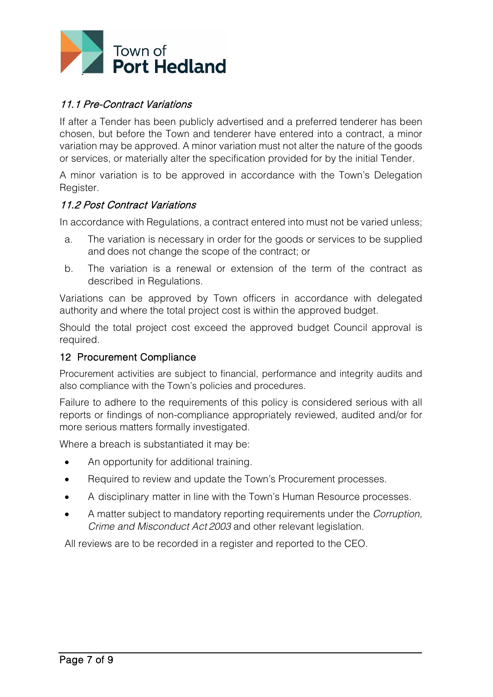

## 11.1 Pre-Contract Variations

If after a Tender has been publicly advertised and a preferred tenderer has been chosen, but before the Town and tenderer have entered into a contract, a minor variation may be approved. A minor variation must not alter the nature of the goods or services, or materially alter the specification provided for by the initial Tender.

A minor variation is to be approved in accordance with the Town's Delegation Register.

#### 11.2 Post Contract Variations

In accordance with Regulations, a contract entered into must not be varied unless;

- a. The variation is necessary in order for the goods or services to be supplied and does not change the scope of the contract; or
- b. The variation is a renewal or extension of the term of the contract as described in Regulations.

Variations can be approved by Town officers in accordance with delegated authority and where the total project cost is within the approved budget.

Should the total project cost exceed the approved budget Council approval is required.

#### 12 Procurement Compliance

Procurement activities are subject to financial, performance and integrity audits and also compliance with the Town's policies and procedures.

Failure to adhere to the requirements of this policy is considered serious with all reports or findings of non-compliance appropriately reviewed, audited and/or for more serious matters formally investigated.

Where a breach is substantiated it may be:

- An opportunity for additional training.
- Required to review and update the Town's Procurement processes.
- A disciplinary matter in line with the Town's Human Resource processes.
- A matter subject to mandatory reporting requirements under the *Corruption, Crime and Misconduct Act 2003* and other relevant legislation.

All reviews are to be recorded in a register and reported to the CEO.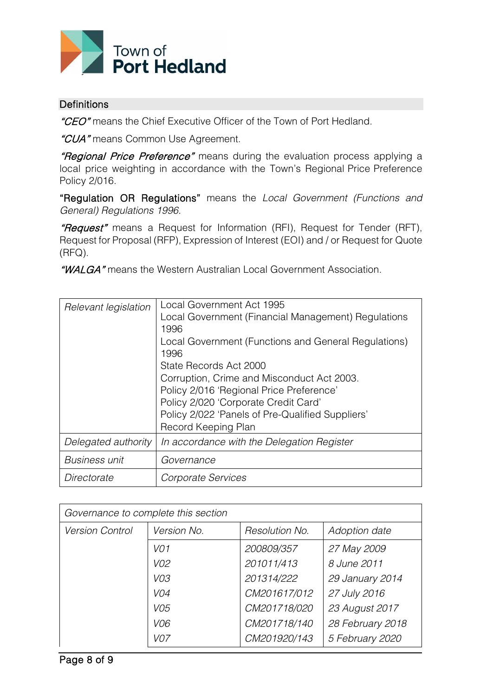

#### **Definitions**

"CEO" means the Chief Executive Officer of the Town of Port Hedland.

"CUA" means Common Use Agreement.

"Regional Price Preference" means during the evaluation process applying a local price weighting in accordance with the Town's Regional Price Preference Policy 2/016.

"Regulation OR Regulations" means the *Local Government (Functions and General) Regulations 1996.*

"Request" means a Request for Information (RFI), Request for Tender (RFT), Request for Proposal (RFP), Expression of Interest (EOI) and / or Request for Quote (RFQ).

"WALGA" means the Western Australian Local Government Association.

| Relevant legislation | Local Government Act 1995<br>Local Government (Financial Management) Regulations<br>1996<br>Local Government (Functions and General Regulations)<br>1996<br>State Records Act 2000<br>Corruption, Crime and Misconduct Act 2003.<br>Policy 2/016 'Regional Price Preference'<br>Policy 2/020 'Corporate Credit Card'<br>Policy 2/022 'Panels of Pre-Qualified Suppliers'<br>Record Keeping Plan |
|----------------------|-------------------------------------------------------------------------------------------------------------------------------------------------------------------------------------------------------------------------------------------------------------------------------------------------------------------------------------------------------------------------------------------------|
| Delegated authority  | In accordance with the Delegation Register                                                                                                                                                                                                                                                                                                                                                      |
| <b>Business unit</b> | Governance                                                                                                                                                                                                                                                                                                                                                                                      |
| Directorate          | Corporate Services                                                                                                                                                                                                                                                                                                                                                                              |

| Governance to complete this section |                 |                |                  |  |
|-------------------------------------|-----------------|----------------|------------------|--|
| <b>Version Control</b>              | Version No.     | Resolution No. | Adoption date    |  |
|                                     | VO <sub>1</sub> | 200809/357     | 27 May 2009      |  |
|                                     | V02             | 201011/413     | 8 June 2011      |  |
|                                     | VO3             | 201314/222     | 29 January 2014  |  |
|                                     | VO4             | CM201617/012   | 27 July 2016     |  |
|                                     | VO5             | CM201718/020   | 23 August 2017   |  |
|                                     | V06             | CM201718/140   | 28 February 2018 |  |
|                                     | VO <sub>7</sub> | CM201920/143   | 5 February 2020  |  |